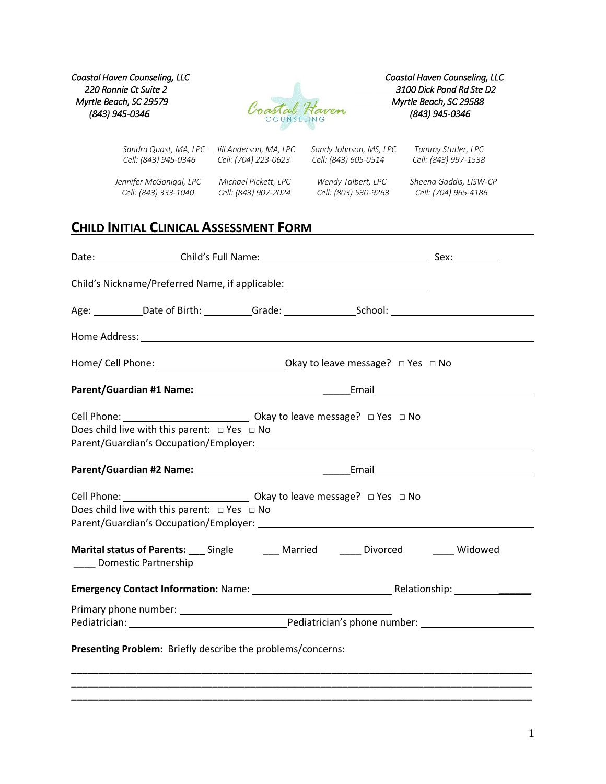*Coastal Haven Counseling, LLC Coastal Haven Counseling, LLC Myrtle Beach, SC 29579 Myrtle Beach, SC 29588*



 *Sandra Quast, MA, LPC Jill Anderson, MA, LPC Sandy Johnson, MS, LPC Tammy Stutler, LPC Cell: (843) 945-0346 Cell: (704) 223-0623 Cell: (843) 605-0514 Cell: (843) 997-1538*

 *Cell: (843) 333-1040 Cell: (843) 907-2024 Cell: (803) 530-9263 Cell: (704) 965-4186*

 *Jennifer McGonigal, LPC Michael Pickett, LPC Wendy Talbert, LPC Sheena Gaddis, LISW-CP* 

# **CHILD INITIAL CLINICAL ASSESSMENT FORM**

|                                                                                                                                            | Child's Nickname/Preferred Name, if applicable: ________________________________                                |
|--------------------------------------------------------------------------------------------------------------------------------------------|-----------------------------------------------------------------------------------------------------------------|
|                                                                                                                                            | Age: ___________Date of Birth: __________Grade: _________________School: ___________________________            |
|                                                                                                                                            |                                                                                                                 |
|                                                                                                                                            |                                                                                                                 |
|                                                                                                                                            |                                                                                                                 |
| Does child live with this parent: $\Box$ Yes $\Box$ No                                                                                     | Parent/Guardian's Occupation/Employer: National Section of the Manuscript of the Manuscript of the Paris of the |
|                                                                                                                                            |                                                                                                                 |
| Cell Phone: __________________________________ Okay to leave message? □ Yes □ No<br>Does child live with this parent: $\Box$ Yes $\Box$ No |                                                                                                                 |
| Domestic Partnership                                                                                                                       | Marital status of Parents: Single Married Superson Divorced Consumed Marital status of Parents: Single          |
|                                                                                                                                            |                                                                                                                 |
|                                                                                                                                            |                                                                                                                 |
| Presenting Problem: Briefly describe the problems/concerns:                                                                                |                                                                                                                 |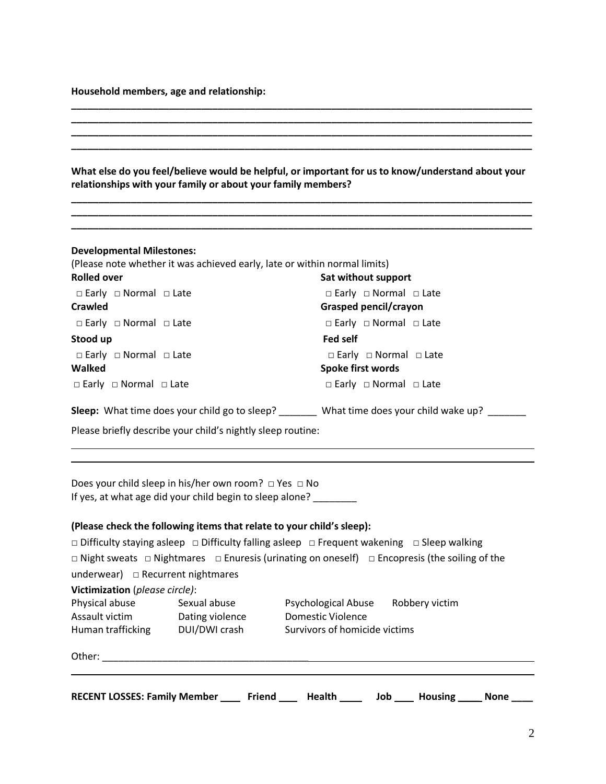**Household members, age and relationship:**

| relationships with your family or about your family members?                                                               | What else do you feel/believe would be helpful, or important for us to know/understand about your               |
|----------------------------------------------------------------------------------------------------------------------------|-----------------------------------------------------------------------------------------------------------------|
|                                                                                                                            |                                                                                                                 |
| <b>Developmental Milestones:</b><br>(Please note whether it was achieved early, late or within normal limits)              |                                                                                                                 |
| <b>Rolled over</b>                                                                                                         | Sat without support                                                                                             |
| □ Early □ Normal □ Late                                                                                                    | $\Box$ Early $\Box$ Normal $\Box$ Late                                                                          |
| <b>Crawled</b>                                                                                                             | Grasped pencil/crayon                                                                                           |
| □ Early □ Normal □ Late                                                                                                    | $\Box$ Early $\Box$ Normal $\Box$ Late                                                                          |
| Stood up                                                                                                                   | <b>Fed self</b>                                                                                                 |
| $\Box$ Early $\Box$ Normal $\Box$ Late                                                                                     | $\Box$ Early $\Box$ Normal $\Box$ Late                                                                          |
| Walked                                                                                                                     | Spoke first words                                                                                               |
| $\Box$ Early $\Box$ Normal $\Box$ Late                                                                                     | $\Box$ Early $\Box$ Normal $\Box$ Late                                                                          |
|                                                                                                                            | Sleep: What time does your child go to sleep? _______ What time does your child wake up? ______                 |
| Please briefly describe your child's nightly sleep routine:                                                                |                                                                                                                 |
| Does your child sleep in his/her own room? □ Yes □ No<br>If yes, at what age did your child begin to sleep alone? ________ |                                                                                                                 |
| (Please check the following items that relate to your child's sleep):                                                      |                                                                                                                 |
|                                                                                                                            | $\Box$ Difficulty staying asleep $\Box$ Difficulty falling asleep $\Box$ Frequent wakening $\Box$ Sleep walking |
|                                                                                                                            | □ Night sweats □ Nightmares □ Enuresis (urinating on oneself) □ Encopresis (the soiling of the                  |
| underwear) $\Box$ Recurrent nightmares                                                                                     |                                                                                                                 |
| Victimization (please circle):                                                                                             |                                                                                                                 |
| Physical abuse<br>Sexual abuse                                                                                             | Robbery victim<br><b>Psychological Abuse</b>                                                                    |
| Assault victim<br>Dating violence                                                                                          | <b>Domestic Violence</b>                                                                                        |
| Human trafficking<br>DUI/DWI crash                                                                                         | Survivors of homicide victims                                                                                   |
|                                                                                                                            |                                                                                                                 |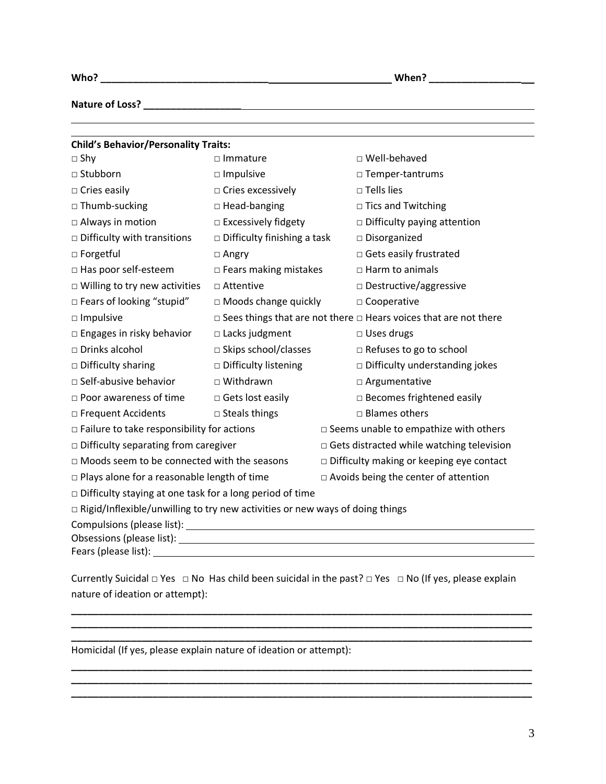|--|--|

<u> 1989 - Johann Stoff, amerikansk politiker (\* 1908)</u>

**Nature of Loss? \_\_\_\_\_\_\_\_\_\_\_\_\_\_\_\_\_\_**

| <b>Child's Behavior/Personality Traits:</b>                                         |                               |                                                                              |  |
|-------------------------------------------------------------------------------------|-------------------------------|------------------------------------------------------------------------------|--|
| $\square$ Shy                                                                       | $\Box$ Immature               | □ Well-behaved                                                               |  |
| □ Stubborn                                                                          | $\Box$ Impulsive              | □ Temper-tantrums                                                            |  |
| $\Box$ Cries easily                                                                 | $\Box$ Cries excessively      | $\square$ Tells lies                                                         |  |
| $\Box$ Thumb-sucking                                                                | $\Box$ Head-banging           | □ Tics and Twitching                                                         |  |
| □ Always in motion                                                                  | $\square$ Excessively fidgety | $\Box$ Difficulty paying attention                                           |  |
| $\Box$ Difficulty with transitions                                                  | □ Difficulty finishing a task | $\square$ Disorganized                                                       |  |
| □ Forgetful                                                                         | $\Box$ Angry                  | □ Gets easily frustrated                                                     |  |
| □ Has poor self-esteem                                                              | $\Box$ Fears making mistakes  | $\Box$ Harm to animals                                                       |  |
| $\Box$ Willing to try new activities                                                | □ Attentive                   | □ Destructive/aggressive                                                     |  |
| □ Fears of looking "stupid"                                                         | $\Box$ Moods change quickly   | □ Cooperative                                                                |  |
| $\square$ Impulsive                                                                 |                               | $\Box$ Sees things that are not there $\Box$ Hears voices that are not there |  |
| □ Engages in risky behavior                                                         | $\Box$ Lacks judgment         | $\Box$ Uses drugs                                                            |  |
| □ Drinks alcohol                                                                    | □ Skips school/classes        | $\Box$ Refuses to go to school                                               |  |
| $\Box$ Difficulty sharing                                                           | □ Difficulty listening        | $\square$ Difficulty understanding jokes                                     |  |
| □ Self-abusive behavior                                                             | □ Withdrawn                   | $\Box$ Argumentative                                                         |  |
| $\Box$ Poor awareness of time                                                       | $\Box$ Gets lost easily       | $\Box$ Becomes frightened easily                                             |  |
| □ Frequent Accidents                                                                | $\Box$ Steals things          | $\Box$ Blames others                                                         |  |
| $\square$ Failure to take responsibility for actions                                |                               | $\square$ Seems unable to empathize with others                              |  |
| $\Box$ Difficulty separating from caregiver                                         |                               | Gets distracted while watching television                                    |  |
| $\Box$ Moods seem to be connected with the seasons                                  |                               | $\Box$ Difficulty making or keeping eye contact                              |  |
| $\Box$ Plays alone for a reasonable length of time                                  |                               | $\Box$ Avoids being the center of attention                                  |  |
| $\Box$ Difficulty staying at one task for a long period of time                     |                               |                                                                              |  |
| $\Box$ Rigid/Inflexible/unwilling to try new activities or new ways of doing things |                               |                                                                              |  |
|                                                                                     |                               |                                                                              |  |
|                                                                                     |                               |                                                                              |  |
| Fears (please list):                                                                |                               |                                                                              |  |

Currently Suicidal □ Yes □ No Has child been suicidal in the past? □ Yes □ No (If yes, please explain nature of ideation or attempt):

**\_\_\_\_\_\_\_\_\_\_\_\_\_\_\_\_\_\_\_\_\_\_\_\_\_\_\_\_\_\_\_\_\_\_\_\_\_\_\_\_\_\_\_\_\_\_\_\_\_\_\_\_\_\_\_\_\_\_\_\_\_\_\_\_\_\_\_\_\_\_\_\_\_\_\_\_\_\_\_\_\_\_\_\_\_ \_\_\_\_\_\_\_\_\_\_\_\_\_\_\_\_\_\_\_\_\_\_\_\_\_\_\_\_\_\_\_\_\_\_\_\_\_\_\_\_\_\_\_\_\_\_\_\_\_\_\_\_\_\_\_\_\_\_\_\_\_\_\_\_\_\_\_\_\_\_\_\_\_\_\_\_\_\_\_\_\_\_\_\_\_**

**\_\_\_\_\_\_\_\_\_\_\_\_\_\_\_\_\_\_\_\_\_\_\_\_\_\_\_\_\_\_\_\_\_\_\_\_\_\_\_\_\_\_\_\_\_\_\_\_\_\_\_\_\_\_\_\_\_\_\_\_\_\_\_\_\_\_\_\_\_\_\_\_\_\_\_\_\_\_\_\_\_\_\_\_\_ \_\_\_\_\_\_\_\_\_\_\_\_\_\_\_\_\_\_\_\_\_\_\_\_\_\_\_\_\_\_\_\_\_\_\_\_\_\_\_\_\_\_\_\_\_\_\_\_\_\_\_\_\_\_\_\_\_\_\_\_\_\_\_\_\_\_\_\_\_\_\_\_\_\_\_\_\_\_\_\_\_\_\_\_\_**

**\_\_\_\_\_\_\_\_\_\_\_\_\_\_\_\_\_\_\_\_\_\_\_\_\_\_\_\_\_\_\_\_\_\_\_\_\_\_\_\_\_\_\_\_\_\_\_\_\_\_\_\_\_\_\_\_\_\_\_\_\_\_\_\_\_\_\_\_\_\_\_\_\_\_\_\_\_\_\_\_\_\_\_\_\_**

Homicidal (If yes, please explain nature of ideation or attempt):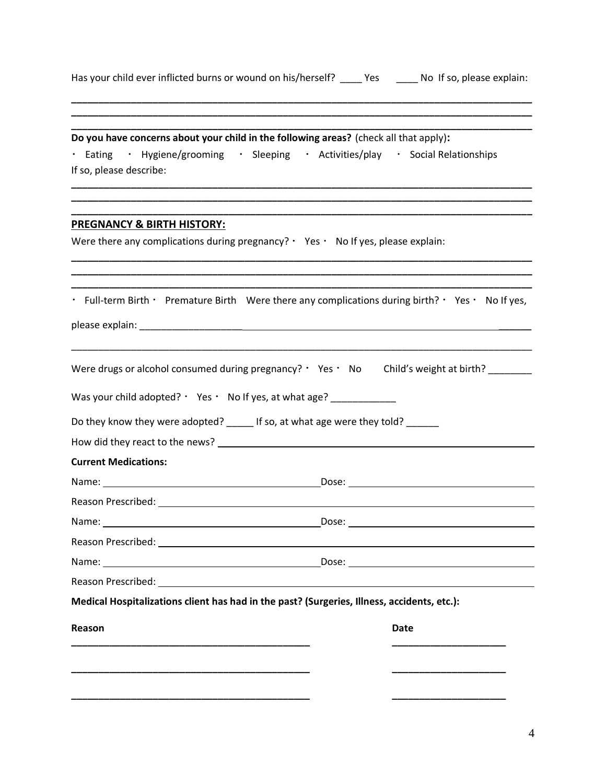|  | Has your child ever inflicted burns or wound on his/herself? | Yes | No If so, please explain: |
|--|--------------------------------------------------------------|-----|---------------------------|
|  |                                                              |     |                           |

| Do you have concerns about your child in the following areas? (check all that apply):                                                                                                                                          |                                                                                                   |
|--------------------------------------------------------------------------------------------------------------------------------------------------------------------------------------------------------------------------------|---------------------------------------------------------------------------------------------------|
| If so, please describe:                                                                                                                                                                                                        | · Eating · Hygiene/grooming · Sleeping · Activities/play · Social Relationships                   |
|                                                                                                                                                                                                                                |                                                                                                   |
| <b>PREGNANCY &amp; BIRTH HISTORY:</b>                                                                                                                                                                                          |                                                                                                   |
| Were there any complications during pregnancy? $\cdot$ Yes $\cdot$ No If yes, please explain:                                                                                                                                  |                                                                                                   |
|                                                                                                                                                                                                                                |                                                                                                   |
|                                                                                                                                                                                                                                | • Full-term Birth • Premature Birth Were there any complications during birth? • Yes • No If yes, |
|                                                                                                                                                                                                                                |                                                                                                   |
|                                                                                                                                                                                                                                | Were drugs or alcohol consumed during pregnancy? $\cdot$ Yes $\cdot$ No Child's weight at birth?  |
| Was your child adopted? $\cdot$ Yes $\cdot$ No If yes, at what age? ____________                                                                                                                                               |                                                                                                   |
| Do they know they were adopted? _____ If so, at what age were they told? ______                                                                                                                                                |                                                                                                   |
|                                                                                                                                                                                                                                |                                                                                                   |
| <b>Current Medications:</b>                                                                                                                                                                                                    |                                                                                                   |
| Name: Name and the second state of the second state of the second state of the second state of the second state of the second state of the second state of the second state of the second state of the second state of the sec |                                                                                                   |
|                                                                                                                                                                                                                                |                                                                                                   |
|                                                                                                                                                                                                                                |                                                                                                   |
| Reason Prescribed: University of the Contract of the Contract of the Contract of the Contract of the Contract of the Contract of the Contract of the Contract of the Contract of the Contract of the Contract of the Contract  |                                                                                                   |
|                                                                                                                                                                                                                                |                                                                                                   |
|                                                                                                                                                                                                                                |                                                                                                   |
|                                                                                                                                                                                                                                | Medical Hospitalizations client has had in the past? (Surgeries, Illness, accidents, etc.):       |
| Reason                                                                                                                                                                                                                         | <b>Date</b>                                                                                       |
|                                                                                                                                                                                                                                |                                                                                                   |
|                                                                                                                                                                                                                                |                                                                                                   |
|                                                                                                                                                                                                                                |                                                                                                   |
|                                                                                                                                                                                                                                |                                                                                                   |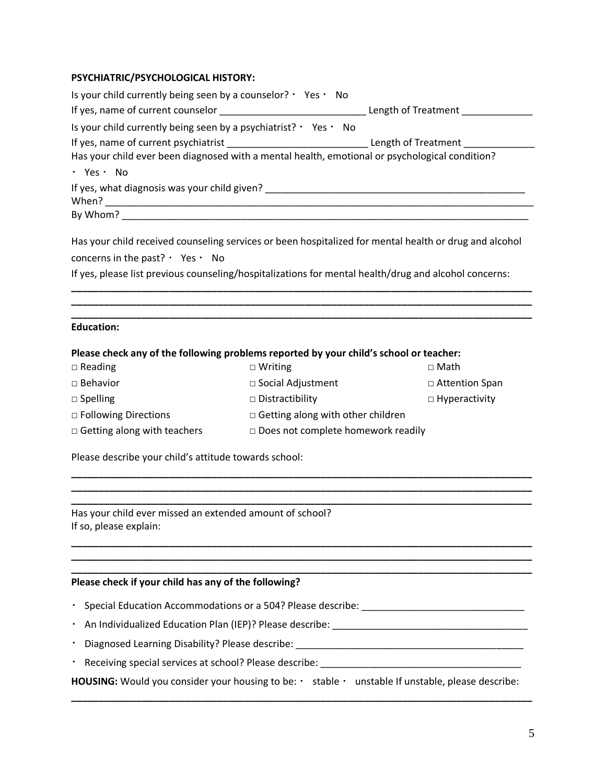## **PSYCHIATRIC/PSYCHOLOGICAL HISTORY:**

| Is your child currently being seen by a counselor? $\cdot$ Yes $\cdot$ No                             |                                              |                                                                                                        |
|-------------------------------------------------------------------------------------------------------|----------------------------------------------|--------------------------------------------------------------------------------------------------------|
|                                                                                                       |                                              |                                                                                                        |
| Is your child currently being seen by a psychiatrist? $\cdot$ Yes $\cdot$ No                          |                                              |                                                                                                        |
|                                                                                                       |                                              |                                                                                                        |
| Has your child ever been diagnosed with a mental health, emotional or psychological condition?        |                                              |                                                                                                        |
| · Yes · No                                                                                            |                                              |                                                                                                        |
|                                                                                                       |                                              |                                                                                                        |
|                                                                                                       |                                              |                                                                                                        |
| concerns in the past? $\cdot$ Yes $\cdot$ No                                                          |                                              | Has your child received counseling services or been hospitalized for mental health or drug and alcohol |
| If yes, please list previous counseling/hospitalizations for mental health/drug and alcohol concerns: |                                              |                                                                                                        |
|                                                                                                       |                                              |                                                                                                        |
|                                                                                                       |                                              |                                                                                                        |
| <b>Education:</b>                                                                                     |                                              |                                                                                                        |
| Please check any of the following problems reported by your child's school or teacher:                |                                              |                                                                                                        |
| $\Box$ Reading                                                                                        | $\Box$ Writing                               | $\Box$ Math                                                                                            |
| $\square$ Behavior                                                                                    | □ Social Adjustment                          | □ Attention Span                                                                                       |
| $\Box$ Spelling                                                                                       | $\square$ Distractibility                    | $\Box$ Hyperactivity                                                                                   |
| □ Following Directions                                                                                | $\Box$ Getting along with other children     |                                                                                                        |
| $\Box$ Getting along with teachers                                                                    | $\square$ Does not complete homework readily |                                                                                                        |
| Please describe your child's attitude towards school:                                                 |                                              |                                                                                                        |

**\_\_\_\_\_\_\_\_\_\_\_\_\_\_\_\_\_\_\_\_\_\_\_\_\_\_\_\_\_\_\_\_\_\_\_\_\_\_\_\_\_\_\_\_\_\_\_\_\_\_\_\_\_\_\_\_\_\_\_\_\_\_\_\_\_\_\_\_\_\_\_\_\_\_\_\_\_\_\_\_\_\_\_\_\_ \_\_\_\_\_\_\_\_\_\_\_\_\_\_\_\_\_\_\_\_\_\_\_\_\_\_\_\_\_\_\_\_\_\_\_\_\_\_\_\_\_\_\_\_\_\_\_\_\_\_\_\_\_\_\_\_\_\_\_\_\_\_\_\_\_\_\_\_\_\_\_\_\_\_\_\_\_\_\_\_\_\_\_\_\_ \_\_\_\_\_\_\_\_\_\_\_\_\_\_\_\_\_\_\_\_\_\_\_\_\_\_\_\_\_\_\_\_\_\_\_\_\_\_\_\_\_\_\_\_\_\_\_\_\_\_\_\_\_\_\_\_\_\_\_\_\_\_\_\_\_\_\_\_\_\_\_\_\_\_\_\_\_\_\_\_\_\_\_\_\_**

**\_\_\_\_\_\_\_\_\_\_\_\_\_\_\_\_\_\_\_\_\_\_\_\_\_\_\_\_\_\_\_\_\_\_\_\_\_\_\_\_\_\_\_\_\_\_\_\_\_\_\_\_\_\_\_\_\_\_\_\_\_\_\_\_\_\_\_\_\_\_\_\_\_\_\_\_\_\_\_\_\_\_\_\_\_ \_\_\_\_\_\_\_\_\_\_\_\_\_\_\_\_\_\_\_\_\_\_\_\_\_\_\_\_\_\_\_\_\_\_\_\_\_\_\_\_\_\_\_\_\_\_\_\_\_\_\_\_\_\_\_\_\_\_\_\_\_\_\_\_\_\_\_\_\_\_\_\_\_\_\_\_\_\_\_\_\_\_\_\_\_ \_\_\_\_\_\_\_\_\_\_\_\_\_\_\_\_\_\_\_\_\_\_\_\_\_\_\_\_\_\_\_\_\_\_\_\_\_\_\_\_\_\_\_\_\_\_\_\_\_\_\_\_\_\_\_\_\_\_\_\_\_\_\_\_\_\_\_\_\_\_\_\_\_\_\_\_\_\_\_\_\_\_\_\_\_**

Has your child ever missed an extended amount of school? If so, please explain:

### **Please check if your child has any of the following?**

- Special Education Accommodations or a 504? Please describe:
- An Individualized Education Plan (IEP)? Please describe: \_\_\_\_\_\_\_\_\_\_\_\_\_\_\_\_\_\_\_\_\_\_\_\_\_\_\_\_\_\_\_\_\_\_\_\_
- Diagnosed Learning Disability? Please describe: \_\_\_\_\_\_\_\_\_\_\_\_\_\_\_\_\_\_\_\_\_\_\_\_\_\_\_\_\_\_\_\_\_\_\_\_\_\_\_\_\_\_
- Receiving special services at school? Please describe: \_\_\_\_\_\_\_\_\_\_\_\_\_\_\_\_\_\_\_\_\_\_\_\_\_\_\_\_\_\_\_\_\_\_\_\_\_

HOUSING: Would you consider your housing to be: · stable · unstable If unstable, please describe: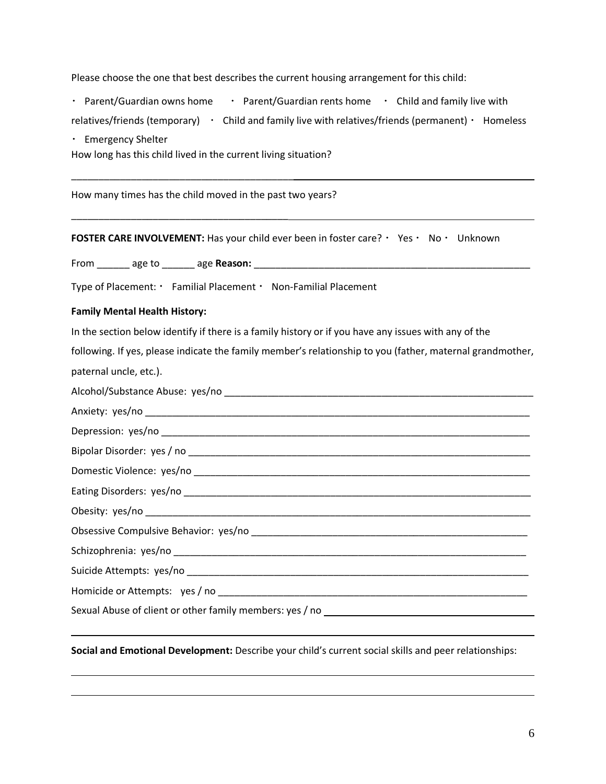Please choose the one that best describes the current housing arrangement for this child:

• Parent/Guardian owns home  $\cdot$  Parent/Guardian rents home  $\cdot$  Child and family live with

| relatives/friends (temporary) |  | Child and family live with relatives/friends (permanent) $\cdot$ Homeless |  |
|-------------------------------|--|---------------------------------------------------------------------------|--|
|-------------------------------|--|---------------------------------------------------------------------------|--|

Emergency Shelter

How long has this child lived in the current living situation?

\_\_\_\_\_\_\_\_\_\_\_\_\_\_\_\_\_\_\_\_\_\_\_\_\_\_\_\_\_\_\_\_\_\_\_\_\_\_\_\_\_

\_\_\_\_\_\_\_\_\_\_\_\_\_\_\_\_\_\_\_\_\_\_\_\_\_\_\_\_\_\_\_\_\_\_\_\_\_\_\_\_

How many times has the child moved in the past two years?

**FOSTER CARE INVOLVEMENT:** Has your child ever been in foster care? Yes Yes Wo Yunknown

From \_\_\_\_\_\_ age to \_\_\_\_\_\_ age **Reason:** \_\_\_\_\_\_\_\_\_\_\_\_\_\_\_\_\_\_\_\_\_\_\_\_\_\_\_\_\_\_\_\_\_\_\_\_\_\_\_\_\_\_\_\_\_\_\_\_\_\_\_

Type of Placement: Familial Placement · Non-Familial Placement

#### **Family Mental Health History:**

In the section below identify if there is a family history or if you have any issues with any of the

following. If yes, please indicate the family member's relationship to you (father, maternal grandmother, paternal uncle, etc.).

| Sexual Abuse of client or other family members: yes / no _______________________ |
|----------------------------------------------------------------------------------|
|                                                                                  |

**Social and Emotional Development:** Describe your child's current social skills and peer relationships: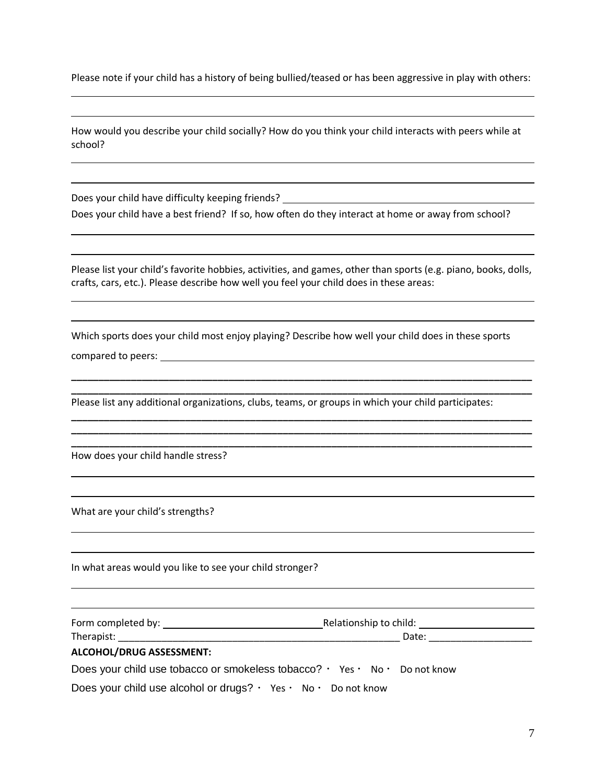Please note if your child has a history of being bullied/teased or has been aggressive in play with others:

| How would you describe your child socially? How do you think your child interacts with peers while at |  |
|-------------------------------------------------------------------------------------------------------|--|
| school?                                                                                               |  |

Does your child have difficulty keeping friends? \_\_\_\_\_\_\_\_\_\_\_\_\_\_\_\_\_\_\_\_\_\_\_\_\_\_\_\_\_\_\_ Does your child have a best friend? If so, how often do they interact at home or away from school?

Please list your child's favorite hobbies, activities, and games, other than sports (e.g. piano, books, dolls, crafts, cars, etc.). Please describe how well you feel your child does in these areas:

Which sports does your child most enjoy playing? Describe how well your child does in these sports compared to peers:

**\_\_\_\_\_\_\_\_\_\_\_\_\_\_\_\_\_\_\_\_\_\_\_\_\_\_\_\_\_\_\_\_\_\_\_\_\_\_\_\_\_\_\_\_\_\_\_\_\_\_\_\_\_\_\_\_\_\_\_\_\_\_\_\_\_\_\_\_\_\_\_\_\_\_\_\_\_\_\_\_\_\_\_\_\_ \_\_\_\_\_\_\_\_\_\_\_\_\_\_\_\_\_\_\_\_\_\_\_\_\_\_\_\_\_\_\_\_\_\_\_\_\_\_\_\_\_\_\_\_\_\_\_\_\_\_\_\_\_\_\_\_\_\_\_\_\_\_\_\_\_\_\_\_\_\_\_\_\_\_\_\_\_\_\_\_\_\_\_\_\_**

**\_\_\_\_\_\_\_\_\_\_\_\_\_\_\_\_\_\_\_\_\_\_\_\_\_\_\_\_\_\_\_\_\_\_\_\_\_\_\_\_\_\_\_\_\_\_\_\_\_\_\_\_\_\_\_\_\_\_\_\_\_\_\_\_\_\_\_\_\_\_\_\_\_\_\_\_\_\_\_\_\_\_\_\_\_ \_\_\_\_\_\_\_\_\_\_\_\_\_\_\_\_\_\_\_\_\_\_\_\_\_\_\_\_\_\_\_\_\_\_\_\_\_\_\_\_\_\_\_\_\_\_\_\_\_\_\_\_\_\_\_\_\_\_\_\_\_\_\_\_\_\_\_\_\_\_\_\_\_\_\_\_\_\_\_\_\_\_\_\_\_ \_\_\_\_\_\_\_\_\_\_\_\_\_\_\_\_\_\_\_\_\_\_\_\_\_\_\_\_\_\_\_\_\_\_\_\_\_\_\_\_\_\_\_\_\_\_\_\_\_\_\_\_\_\_\_\_\_\_\_\_\_\_\_\_\_\_\_\_\_\_\_\_\_\_\_\_\_\_\_\_\_\_\_\_\_**

Please list any additional organizations, clubs, teams, or groups in which your child participates:

How does your child handle stress?

What are your child's strengths?

In what areas would you like to see your child stronger?

| Form completed by:<br>Relationship to child: |
|----------------------------------------------|
|----------------------------------------------|

Therapist: Therapist:

#### **ALCOHOL/DRUG ASSESSMENT:**

Does your child use tobacco or smokeless tobacco?  $\cdot$  Yes  $\cdot$  No  $\cdot$  Do not know

Does your child use alcohol or drugs?  $\cdot$  Yes  $\cdot$  No  $\cdot$  Do not know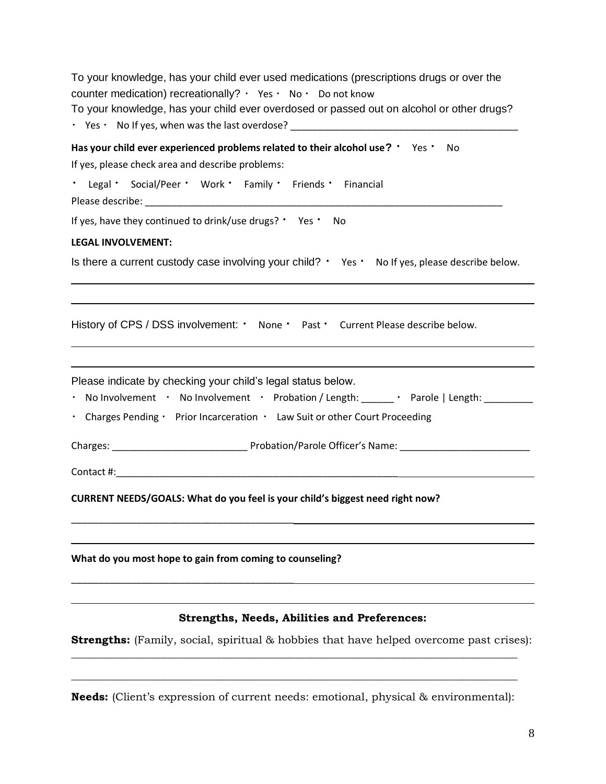| To your knowledge, has your child ever used medications (prescriptions drugs or over the<br>counter medication) recreationally? $\cdot$ Yes $\cdot$ No $\cdot$ Do not know<br>To your knowledge, has your child ever overdosed or passed out on alcohol or other drugs? |  |
|-------------------------------------------------------------------------------------------------------------------------------------------------------------------------------------------------------------------------------------------------------------------------|--|
| Has your child ever experienced problems related to their alcohol use? ' Yes ' No<br>If yes, please check area and describe problems:                                                                                                                                   |  |
| * Legal * Social/Peer * Work * Family * Friends * Financial                                                                                                                                                                                                             |  |
| If yes, have they continued to drink/use drugs? ' Yes ' No                                                                                                                                                                                                              |  |
| <b>LEGAL INVOLVEMENT:</b>                                                                                                                                                                                                                                               |  |
| Is there a current custody case involving your child? • Yes • No If yes, please describe below.                                                                                                                                                                         |  |
| History of CPS / DSS involvement: ' None ' Past ' Current Please describe below.                                                                                                                                                                                        |  |
| Please indicate by checking your child's legal status below.<br>. No Involvement . No Involvement . Probation / Length: ______ . Parole   Length: _______<br>. Charges Pending · Prior Incarceration · Law Suit or other Court Proceeding                               |  |
|                                                                                                                                                                                                                                                                         |  |
|                                                                                                                                                                                                                                                                         |  |
| CURRENT NEEDS/GOALS: What do you feel is your child's biggest need right now?                                                                                                                                                                                           |  |
| What do you most hope to gain from coming to counseling?                                                                                                                                                                                                                |  |
| <b>Strengths, Needs, Abilities and Preferences:</b>                                                                                                                                                                                                                     |  |
| <b>Strengths:</b> (Family, social, spiritual & hobbies that have helped overcome past crises):                                                                                                                                                                          |  |

**Needs:** (Client's expression of current needs: emotional, physical & environmental):